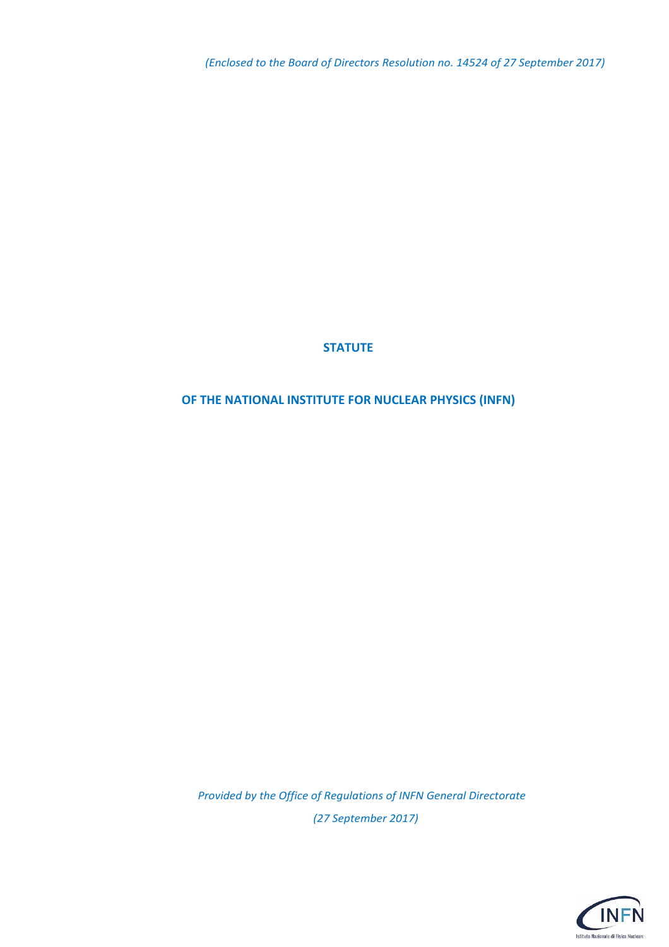*(Enclosed to the Board of Directors Resolution no. 14524 of 27 September 2017)*

#### **STATUTE**

#### **OF THE NATIONAL INSTITUTE FOR NUCLEAR PHYSICS (INFN)**

*Provided by the Office of Regulations of INFN General Directorate (27 September 2017)*

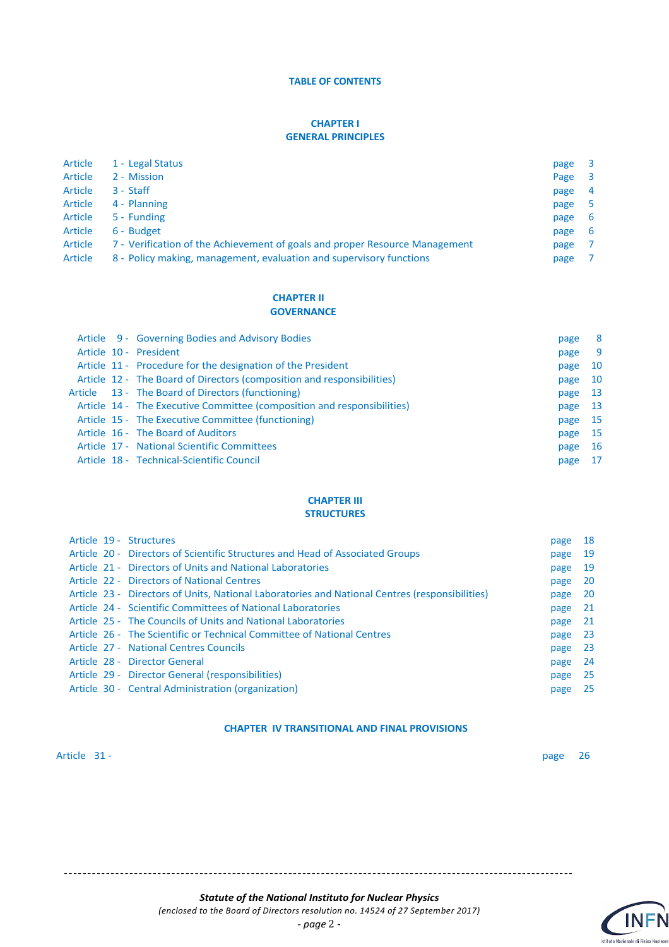#### **TABLE OF CONTENTS**

#### **CHAPTER I GENERAL PRINCIPLES**

| Article | 1 - Legal Status                                                            | page | 3                       |
|---------|-----------------------------------------------------------------------------|------|-------------------------|
| Article | 2 - Mission                                                                 | Page | $\overline{\mathbf{3}}$ |
| Article | $3 - Staff$                                                                 | page | $\overline{4}$          |
| Article | 4 - Planning                                                                | page | -5                      |
| Article | 5 - Funding                                                                 | page | 6                       |
| Article | 6 - Budget                                                                  | page | -6                      |
| Article | 7 - Verification of the Achievement of goals and proper Resource Management | page |                         |
| Article | 8 - Policy making, management, evaluation and supervisory functions         | page |                         |

#### **CHAPTER II GOVERNANCE**

|  | Article 9 - Governing Bodies and Advisory Bodies                        | page | 8   |
|--|-------------------------------------------------------------------------|------|-----|
|  | Article 10 - President                                                  | page | 9   |
|  | Article 11 - Procedure for the designation of the President             | page | 10  |
|  | Article 12 - The Board of Directors (composition and responsibilities)  | page | 10  |
|  | Article 13 - The Board of Directors (functioning)                       | page | -13 |
|  | Article 14 - The Executive Committee (composition and responsibilities) | page | 13  |
|  | Article 15 - The Executive Committee (functioning)                      | page | 15  |
|  | Article 16 - The Board of Auditors                                      | page | 15  |
|  | Article 17 - National Scientific Committees                             | page | 16  |
|  | Article 18 - Technical-Scientific Council                               | page | 17  |

#### **CHAPTER III STRUCTURES**

|  | Article 19 - Structures                                                                        | page | 18  |
|--|------------------------------------------------------------------------------------------------|------|-----|
|  | Article 20 - Directors of Scientific Structures and Head of Associated Groups                  | page | 19  |
|  | Article 21 - Directors of Units and National Laboratories                                      | page | 19  |
|  | Article 22 - Directors of National Centres                                                     | page | 20  |
|  | Article 23 - Directors of Units, National Laboratories and National Centres (responsibilities) | page | 20  |
|  | Article 24 - Scientific Committees of National Laboratories                                    | page | 21  |
|  | Article 25 - The Councils of Units and National Laboratories                                   | page | -21 |
|  | Article 26 - The Scientific or Technical Committee of National Centres                         | page | 23  |
|  | Article 27 - National Centres Councils                                                         | page | 23  |
|  | Article 28 - Director General                                                                  | page | 24  |
|  | Article 29 - Director General (responsibilities)                                               | page | -25 |
|  | Article 30 - Central Administration (organization)                                             | page | 25  |
|  |                                                                                                |      |     |

#### **CHAPTER IV TRANSITIONAL AND FINAL PROVISIONS**

#### Article 31 - page 26

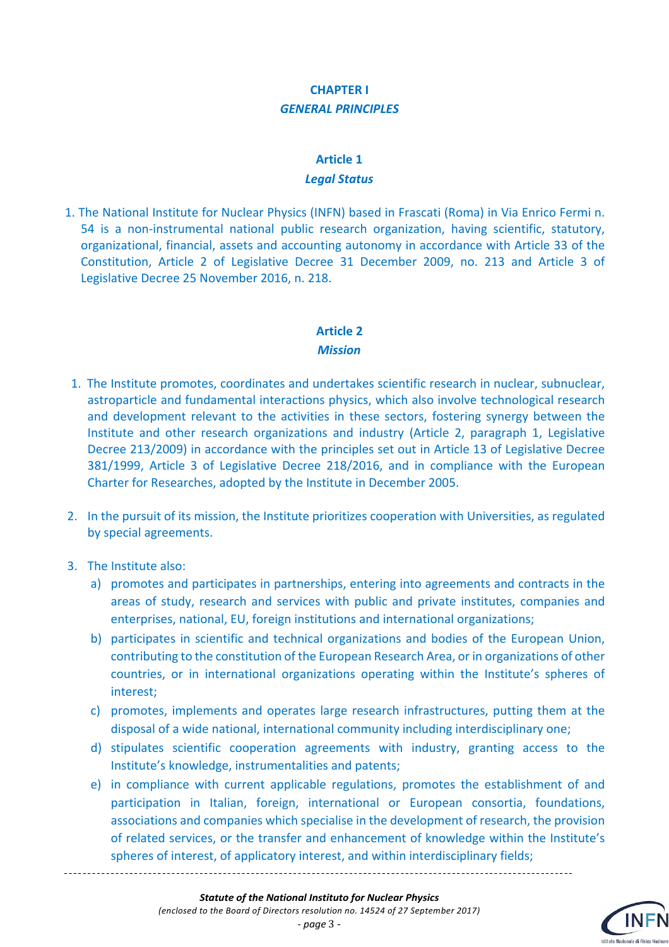#### **CHAPTER I** *GENERAL PRINCIPLES*

## **Article 1** *Legal Status*

1. The National Institute for Nuclear Physics (INFN) based in Frascati (Roma) in Via Enrico Fermi n. 54 is a non-instrumental national public research organization, having scientific, statutory, organizational, financial, assets and accounting autonomy in accordance with Article 33 of the Constitution, Article 2 of Legislative Decree 31 December 2009, no. 213 and Article 3 of Legislative Decree 25 November 2016, n. 218.

#### **Article 2** *Mission*

- 1. The Institute promotes, coordinates and undertakes scientific research in nuclear, subnuclear, astroparticle and fundamental interactions physics, which also involve technological research and development relevant to the activities in these sectors, fostering synergy between the Institute and other research organizations and industry (Article 2, paragraph 1, Legislative Decree 213/2009) in accordance with the principles set out in Article 13 of Legislative Decree 381/1999, Article 3 of Legislative Decree 218/2016, and in compliance with the European Charter for Researches, adopted by the Institute in December 2005.
- 2. In the pursuit of its mission, the Institute prioritizes cooperation with Universities, as regulated by special agreements.
- 3. The Institute also:
	- a) promotes and participates in partnerships, entering into agreements and contracts in the areas of study, research and services with public and private institutes, companies and enterprises, national, EU, foreign institutions and international organizations;
	- b) participates in scientific and technical organizations and bodies of the European Union, contributing to the constitution of the European Research Area, or in organizations of other countries, or in international organizations operating within the Institute's spheres of interest;
	- c) promotes, implements and operates large research infrastructures, putting them at the disposal of a wide national, international community including interdisciplinary one;
	- d) stipulates scientific cooperation agreements with industry, granting access to the Institute's knowledge, instrumentalities and patents;
	- e) in compliance with current applicable regulations, promotes the establishment of and participation in Italian, foreign, international or European consortia, foundations, associations and companies which specialise in the development of research, the provision of related services, or the transfer and enhancement of knowledge within the Institute's spheres of interest, of applicatory interest, and within interdisciplinary fields;

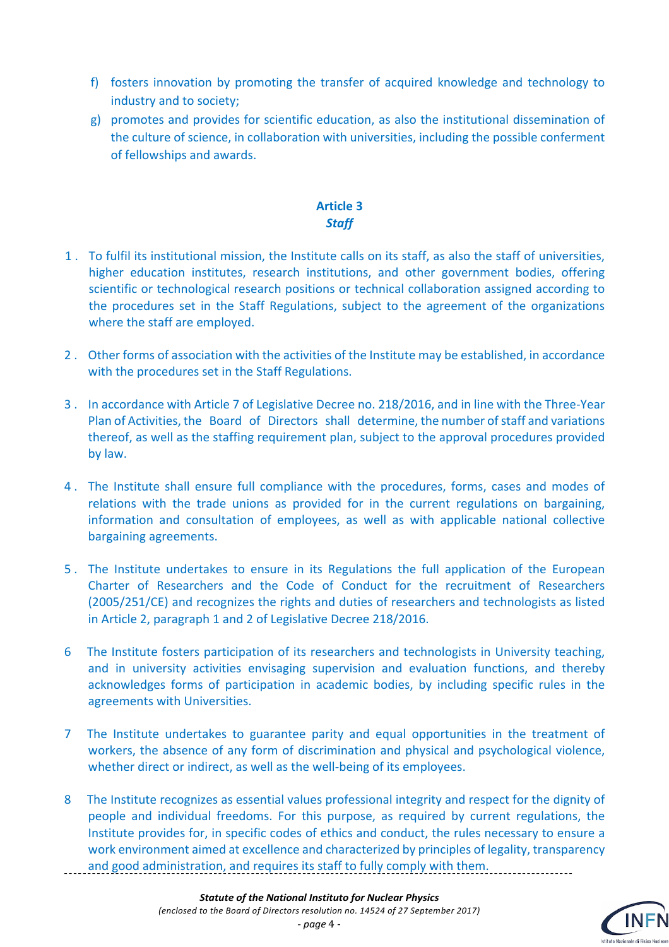- f) fosters innovation by promoting the transfer of acquired knowledge and technology to industry and to society;
- g) promotes and provides for scientific education, as also the institutional dissemination of the culture of science, in collaboration with universities, including the possible conferment of fellowships and awards.

#### **Article 3** *Staff*

- 1 . To fulfil its institutional mission, the Institute calls on its staff, as also the staff of universities, higher education institutes, research institutions, and other government bodies, offering scientific or technological research positions or technical collaboration assigned according to the procedures set in the Staff Regulations, subject to the agreement of the organizations where the staff are employed.
- 2 . Other forms of association with the activities of the Institute may be established, in accordance with the procedures set in the Staff Regulations.
- 3 . In accordance with Article 7 of Legislative Decree no. 218/2016, and in line with the Three-Year Plan of Activities, the Board of Directors shall determine, the number of staff and variations thereof, as well as the staffing requirement plan, subject to the approval procedures provided by law.
- 4 . The Institute shall ensure full compliance with the procedures, forms, cases and modes of relations with the trade unions as provided for in the current regulations on bargaining, information and consultation of employees, as well as with applicable national collective bargaining agreements.
- 5 . The Institute undertakes to ensure in its Regulations the full application of the European Charter of Researchers and the Code of Conduct for the recruitment of Researchers (2005/251/CE) and recognizes the rights and duties of researchers and technologists as listed in Article 2, paragraph 1 and 2 of Legislative Decree 218/2016.
- 6 The Institute fosters participation of its researchers and technologists in University teaching, and in university activities envisaging supervision and evaluation functions, and thereby acknowledges forms of participation in academic bodies, by including specific rules in the agreements with Universities.
- 7 The Institute undertakes to guarantee parity and equal opportunities in the treatment of workers, the absence of any form of discrimination and physical and psychological violence, whether direct or indirect, as well as the well-being of its employees.
- 8 The Institute recognizes as essential values professional integrity and respect for the dignity of people and individual freedoms. For this purpose, as required by current regulations, the Institute provides for, in specific codes of ethics and conduct, the rules necessary to ensure a work environment aimed at excellence and characterized by principles of legality, transparency and good administration, and requires its staff to fully comply with them.

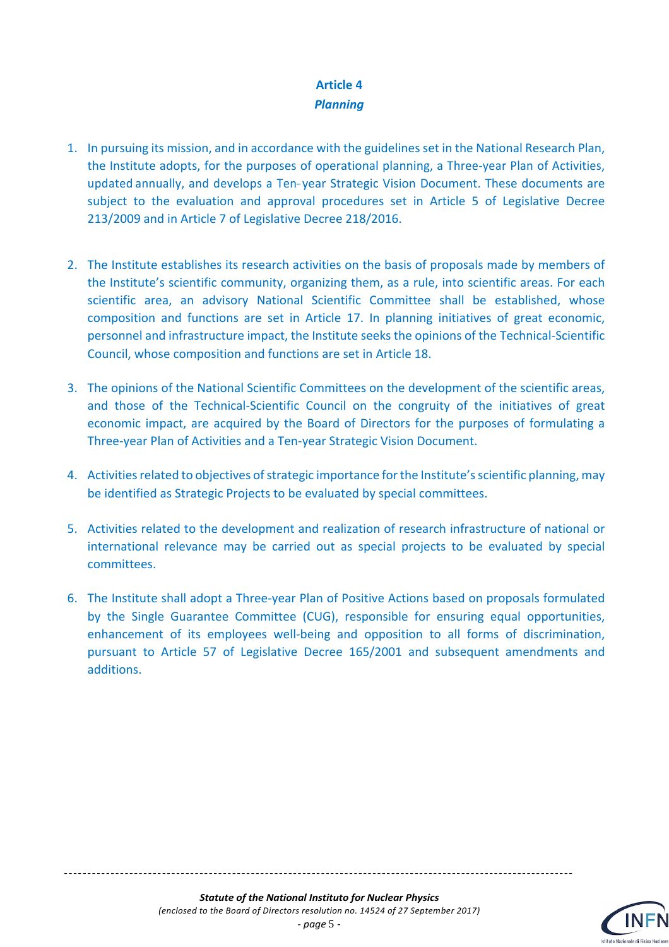#### **Article 4** *Planning*

- 1. In pursuing its mission, and in accordance with the guidelines set in the National Research Plan, the Institute adopts, for the purposes of operational planning, a Three-year Plan of Activities, updated annually, and develops a Ten-year Strategic Vision Document. These documents are subject to the evaluation and approval procedures set in Article 5 of Legislative Decree 213/2009 and in Article 7 of Legislative Decree 218/2016.
- 2. The Institute establishes its research activities on the basis of proposals made by members of the Institute's scientific community, organizing them, as a rule, into scientific areas. For each scientific area, an advisory National Scientific Committee shall be established, whose composition and functions are set in Article 17. In planning initiatives of great economic, personnel and infrastructure impact, the Institute seeks the opinions of the Technical-Scientific Council, whose composition and functions are set in Article 18.
- 3. The opinions of the National Scientific Committees on the development of the scientific areas, and those of the Technical-Scientific Council on the congruity of the initiatives of great economic impact, are acquired by the Board of Directors for the purposes of formulating a Three-year Plan of Activities and a Ten-year Strategic Vision Document.
- 4. Activities related to objectives of strategic importance for the Institute's scientific planning, may be identified as Strategic Projects to be evaluated by special committees.
- 5. Activities related to the development and realization of research infrastructure of national or international relevance may be carried out as special projects to be evaluated by special committees.
- 6. The Institute shall adopt a Three-year Plan of Positive Actions based on proposals formulated by the Single Guarantee Committee (CUG), responsible for ensuring equal opportunities, enhancement of its employees well-being and opposition to all forms of discrimination, pursuant to Article 57 of Legislative Decree 165/2001 and subsequent amendments and additions.

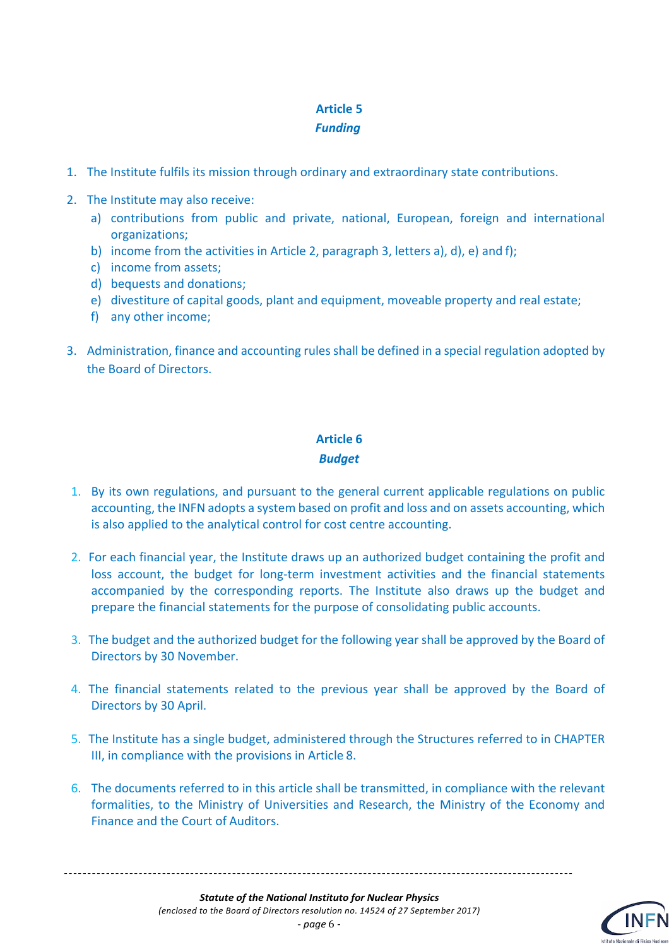#### *Funding*

- 1. The Institute fulfils its mission through ordinary and extraordinary state contributions.
- 2. The Institute may also receive:
	- a) contributions from public and private, national, European, foreign and international organizations;
	- b) income from the activities in Article 2, paragraph 3, letters a), d), e) and f);
	- c) income from assets;
	- d) bequests and donations;
	- e) divestiture of capital goods, plant and equipment, moveable property and real estate;
	- f) any other income;
- 3. Administration, finance and accounting rules shall be defined in a special regulation adopted by the Board of Directors.

# **Article 6** *Budget*

- 1. By its own regulations, and pursuant to the general current applicable regulations on public accounting, the INFN adopts a system based on profit and loss and on assets accounting, which is also applied to the analytical control for cost centre accounting.
- 2. For each financial year, the Institute draws up an authorized budget containing the profit and loss account, the budget for long-term investment activities and the financial statements accompanied by the corresponding reports. The Institute also draws up the budget and prepare the financial statements for the purpose of consolidating public accounts.
- 3. The budget and the authorized budget for the following year shall be approved by the Board of Directors by 30 November.
- 4. The financial statements related to the previous year shall be approved by the Board of Directors by 30 April.
- 5. The Institute has a single budget, administered through the Structures referred to in CHAPTER III, in compliance with the provisions in Article 8.
- 6. The documents referred to in this article shall be transmitted, in compliance with the relevant formalities, to the Ministry of Universities and Research, the Ministry of the Economy and Finance and the Court of Auditors.

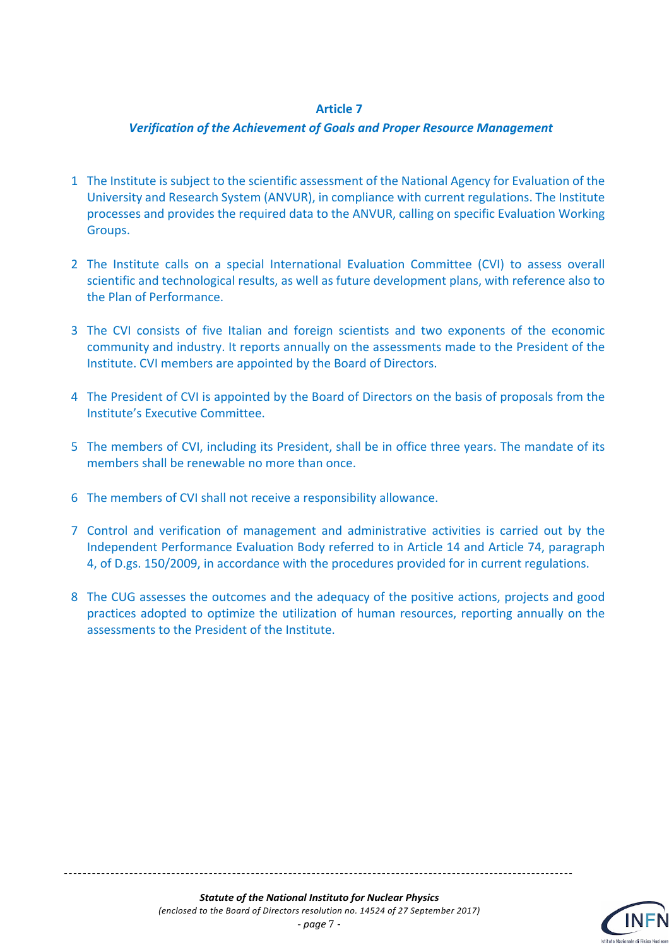#### *Verification of the Achievement of Goals and Proper Resource Management*

- 1 The Institute is subject to the scientific assessment of the National Agency for Evaluation of the University and Research System (ANVUR), in compliance with current regulations. The Institute processes and provides the required data to the ANVUR, calling on specific Evaluation Working Groups.
- 2 The Institute calls on a special International Evaluation Committee (CVI) to assess overall scientific and technological results, as well as future development plans, with reference also to the Plan of Performance.
- 3 The CVI consists of five Italian and foreign scientists and two exponents of the economic community and industry. It reports annually on the assessments made to the President of the Institute. CVI members are appointed by the Board of Directors.
- 4 The President of CVI is appointed by the Board of Directors on the basis of proposals from the Institute's Executive Committee.
- 5 The members of CVI, including its President, shall be in office three years. The mandate of its members shall be renewable no more than once.
- 6 The members of CVI shall not receive a responsibility allowance.
- 7 Control and verification of management and administrative activities is carried out by the Independent Performance Evaluation Body referred to in Article 14 and Article 74, paragraph 4, of D.gs. 150/2009, in accordance with the procedures provided for in current regulations.
- 8 The CUG assesses the outcomes and the adequacy of the positive actions, projects and good practices adopted to optimize the utilization of human resources, reporting annually on the assessments to the President of the Institute.

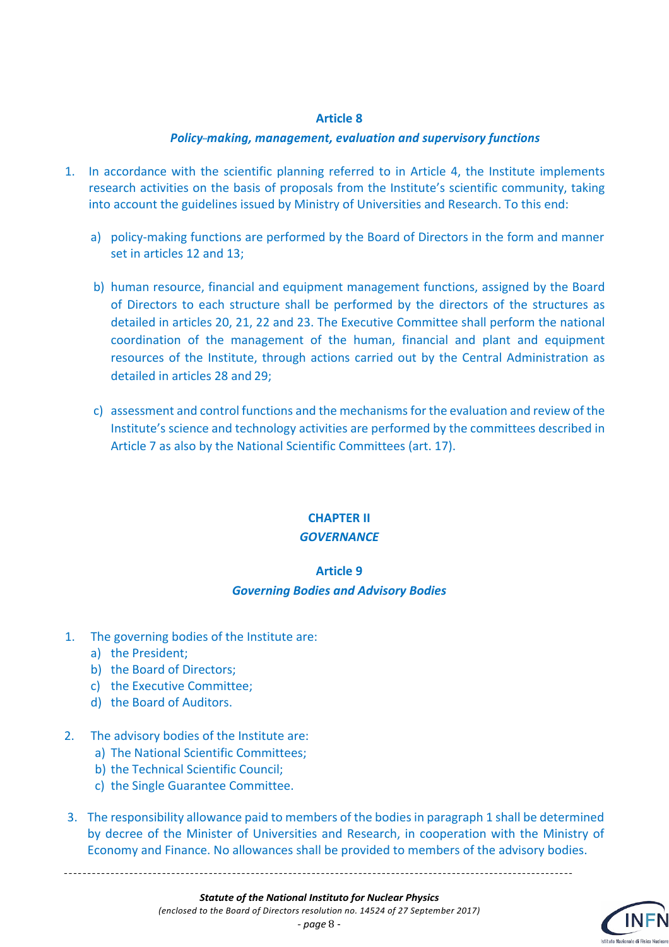#### *Policy---making, management, evaluation and supervisory functions*

- 1. In accordance with the scientific planning referred to in Article 4, the Institute implements research activities on the basis of proposals from the Institute's scientific community, taking into account the guidelines issued by Ministry of Universities and Research. To this end:
	- a) policy-making functions are performed by the Board of Directors in the form and manner set in articles 12 and 13;
	- b) human resource, financial and equipment management functions, assigned by the Board of Directors to each structure shall be performed by the directors of the structures as detailed in articles 20, 21, 22 and 23. The Executive Committee shall perform the national coordination of the management of the human, financial and plant and equipment resources of the Institute, through actions carried out by the Central Administration as detailed in articles 28 and 29;
	- c) assessment and control functions and the mechanisms for the evaluation and review of the Institute's science and technology activities are performed by the committees described in Article 7 as also by the National Scientific Committees (art. 17).

# **CHAPTER II**

#### *GOVERNANCE*

#### **Article 9**

#### *Governing Bodies and Advisory Bodies*

- 1. The governing bodies of the Institute are:
	- a) the President;
	- b) the Board of Directors;
	- c) the Executive Committee;
	- d) the Board of Auditors.
- 2. The advisory bodies of the Institute are:
	- a) The National Scientific Committees;
	- b) the Technical Scientific Council;
	- c) the Single Guarantee Committee.
- 3. The responsibility allowance paid to members of the bodies in paragraph 1 shall be determined by decree of the Minister of Universities and Research, in cooperation with the Ministry of Economy and Finance. No allowances shall be provided to members of the advisory bodies.

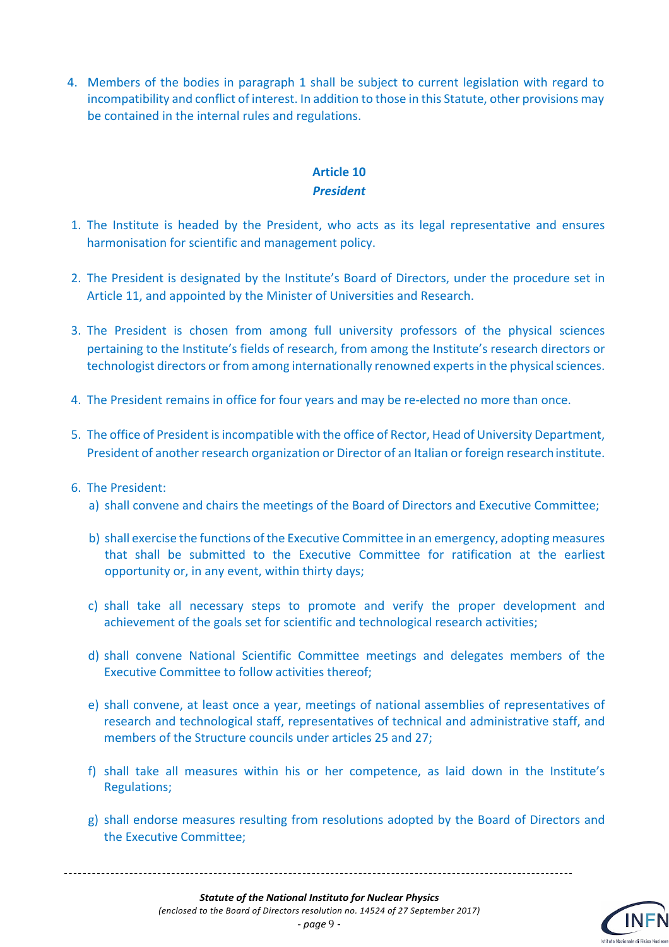4. Members of the bodies in paragraph 1 shall be subject to current legislation with regard to incompatibility and conflict of interest. In addition to those in this Statute, other provisions may be contained in the internal rules and regulations.

#### **Article 10** *President*

- 1. The Institute is headed by the President, who acts as its legal representative and ensures harmonisation for scientific and management policy.
- 2. The President is designated by the Institute's Board of Directors, under the procedure set in Article 11, and appointed by the Minister of Universities and Research.
- 3. The President is chosen from among full university professors of the physical sciences pertaining to the Institute's fields of research, from among the Institute's research directors or technologist directors or from among internationally renowned experts in the physical sciences.
- 4. The President remains in office for four years and may be re-elected no more than once.
- 5. The office of President is incompatible with the office of Rector, Head of University Department, President of another research organization or Director of an Italian or foreign researchinstitute.
- 6. The President:
	- a) shall convene and chairs the meetings of the Board of Directors and Executive Committee;
	- b) shall exercise the functions of the Executive Committee in an emergency, adopting measures that shall be submitted to the Executive Committee for ratification at the earliest opportunity or, in any event, within thirty days;
	- c) shall take all necessary steps to promote and verify the proper development and achievement of the goals set for scientific and technological research activities;
	- d) shall convene National Scientific Committee meetings and delegates members of the Executive Committee to follow activities thereof;
	- e) shall convene, at least once a year, meetings of national assemblies of representatives of research and technological staff, representatives of technical and administrative staff, and members of the Structure councils under articles 25 and 27;
	- f) shall take all measures within his or her competence, as laid down in the Institute's Regulations;
	- g) shall endorse measures resulting from resolutions adopted by the Board of Directors and the Executive Committee;

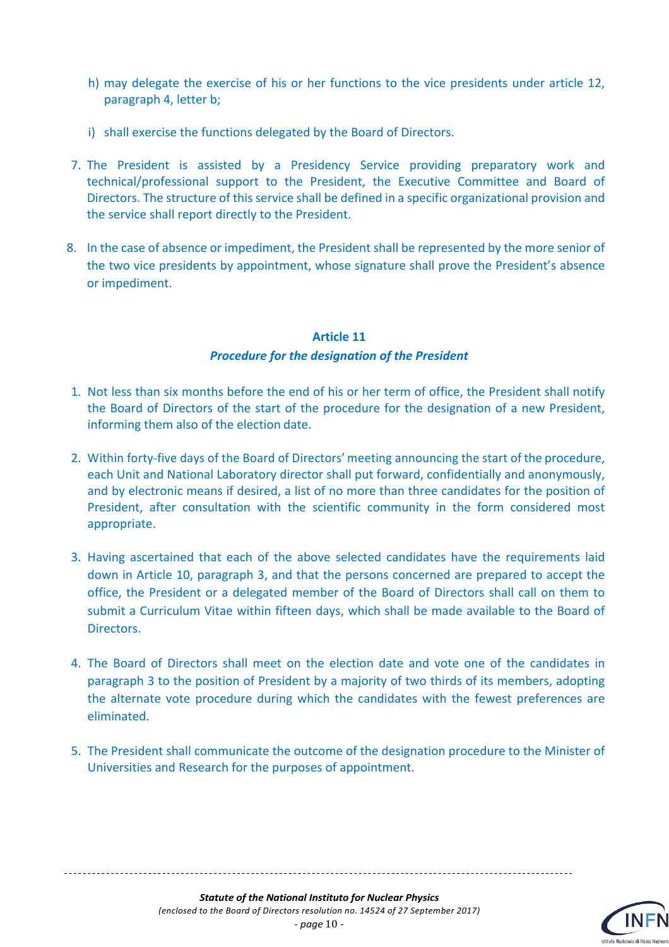- h) may delegate the exercise of his or her functions to the vice presidents under article 12, paragraph 4, letter b;
- i) shall exercise the functions delegated by the Board of Directors.
- 7. The President is assisted by a Presidency Service providing preparatory work and technical/professional support to the President, the Executive Committee and Board of Directors. The structure of this service shall be defined in a specific organizational provision and the service shall report directly to the President.
- 8. In the case of absence or impediment, the President shall be represented by the more senior of the two vice presidents by appointment, whose signature shall prove the President's absence or impediment.

## **Article 11** *Procedure for the designation of the President*

- 1. Not less than six months before the end of his or her term of office, the President shall notify the Board of Directors of the start of the procedure for the designation of a new President, informing them also of the election date.
- 2. Within forty-five days of the Board of Directors' meeting announcing the start of the procedure, each Unit and National Laboratory director shall put forward, confidentially and anonymously, and by electronic means if desired, a list of no more than three candidates for the position of President, after consultation with the scientific community in the form considered most appropriate.
- 3. Having ascertained that each of the above selected candidates have the requirements laid down in Article 10, paragraph 3, and that the persons concerned are prepared to accept the office, the President or a delegated member of the Board of Directors shall call on them to submit a Curriculum Vitae within fifteen days, which shall be made available to the Board of Directors.
- 4. The Board of Directors shall meet on the election date and vote one of the candidates in paragraph 3 to the position of President by a majority of two thirds of its members, adopting the alternate vote procedure during which the candidates with the fewest preferences are eliminated.
- 5. The President shall communicate the outcome of the designation procedure to the Minister of Universities and Research for the purposes of appointment.

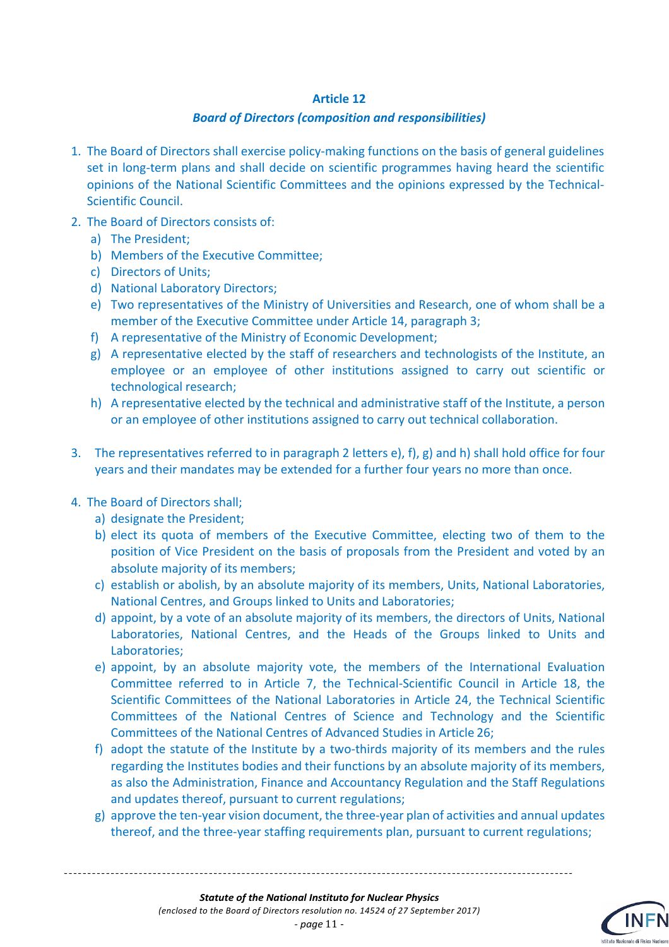#### *Board of Directors (composition and responsibilities)*

- 1. The Board of Directors shall exercise policy-making functions on the basis of general guidelines set in long-term plans and shall decide on scientific programmes having heard the scientific opinions of the National Scientific Committees and the opinions expressed by the Technical-Scientific Council.
- 2. The Board of Directors consists of:
	- a) The President;
	- b) Members of the Executive Committee;
	- c) Directors of Units;
	- d) National Laboratory Directors;
	- e) Two representatives of the Ministry of Universities and Research, one of whom shall be a member of the Executive Committee under Article 14, paragraph 3;
	- f) A representative of the Ministry of Economic Development;
	- g) A representative elected by the staff of researchers and technologists of the Institute, an employee or an employee of other institutions assigned to carry out scientific or technological research;
	- h) A representative elected by the technical and administrative staff of the Institute, a person or an employee of other institutions assigned to carry out technical collaboration.
- 3. The representatives referred to in paragraph 2 letters e), f), g) and h) shall hold office for four years and their mandates may be extended for a further four years no more than once.
- 4. The Board of Directors shall;
	- a) designate the President;
	- b) elect its quota of members of the Executive Committee, electing two of them to the position of Vice President on the basis of proposals from the President and voted by an absolute majority of its members;
	- c) establish or abolish, by an absolute majority of its members, Units, National Laboratories, National Centres, and Groups linked to Units and Laboratories;
	- d) appoint, by a vote of an absolute majority of its members, the directors of Units, National Laboratories, National Centres, and the Heads of the Groups linked to Units and Laboratories;
	- e) appoint, by an absolute majority vote, the members of the International Evaluation Committee referred to in Article 7, the Technical-Scientific Council in Article 18, the Scientific Committees of the National Laboratories in Article 24, the Technical Scientific Committees of the National Centres of Science and Technology and the Scientific Committees of the National Centres of Advanced Studies in Article 26;
	- f) adopt the statute of the Institute by a two-thirds majority of its members and the rules regarding the Institutes bodies and their functions by an absolute majority of its members, as also the Administration, Finance and Accountancy Regulation and the Staff Regulations and updates thereof, pursuant to current regulations;
	- g) approve the ten-year vision document, the three-year plan of activities and annual updates thereof, and the three-year staffing requirements plan, pursuant to current regulations;



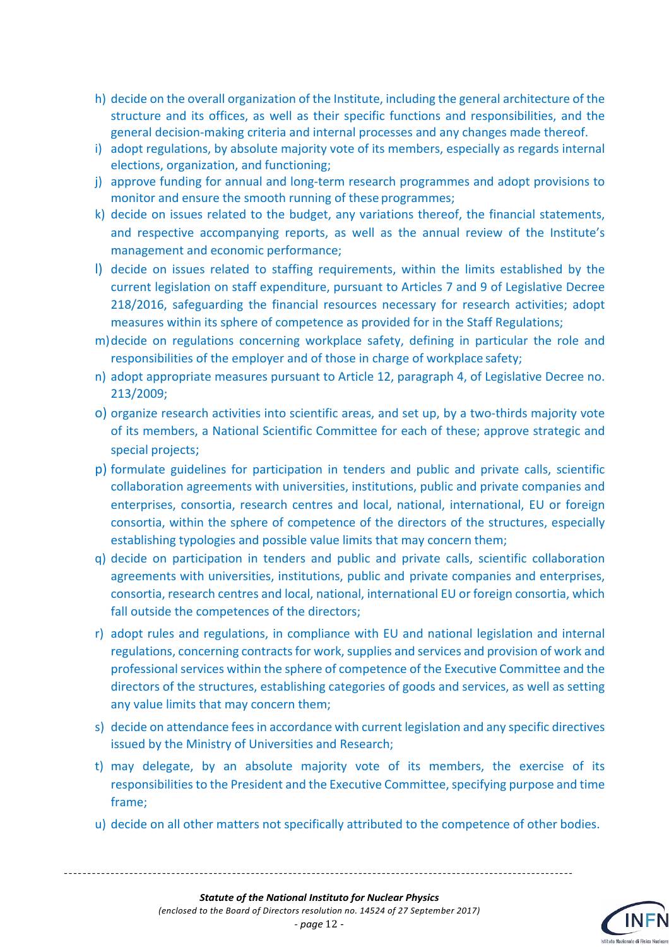- h) decide on the overall organization of the Institute, including the general architecture of the structure and its offices, as well as their specific functions and responsibilities, and the general decision-making criteria and internal processes and any changes made thereof.
- i) adopt regulations, by absolute majority vote of its members, especially as regards internal elections, organization, and functioning;
- j) approve funding for annual and long-term research programmes and adopt provisions to monitor and ensure the smooth running of these programmes;
- k) decide on issues related to the budget, any variations thereof, the financial statements, and respective accompanying reports, as well as the annual review of the Institute's management and economic performance;
- l) decide on issues related to staffing requirements, within the limits established by the current legislation on staff expenditure, pursuant to Articles 7 and 9 of Legislative Decree 218/2016, safeguarding the financial resources necessary for research activities; adopt measures within its sphere of competence as provided for in the Staff Regulations;
- m)decide on regulations concerning workplace safety, defining in particular the role and responsibilities of the employer and of those in charge of workplace safety;
- n) adopt appropriate measures pursuant to Article 12, paragraph 4, of Legislative Decree no. 213/2009;
- o) organize research activities into scientific areas, and set up, by a two-thirds majority vote of its members, a National Scientific Committee for each of these; approve strategic and special projects;
- p) formulate guidelines for participation in tenders and public and private calls, scientific collaboration agreements with universities, institutions, public and private companies and enterprises, consortia, research centres and local, national, international, EU or foreign consortia, within the sphere of competence of the directors of the structures, especially establishing typologies and possible value limits that may concern them;
- q) decide on participation in tenders and public and private calls, scientific collaboration agreements with universities, institutions, public and private companies and enterprises, consortia, research centres and local, national, international EU or foreign consortia, which fall outside the competences of the directors;
- r) adopt rules and regulations, in compliance with EU and national legislation and internal regulations, concerning contracts for work, supplies and services and provision of work and professional services within the sphere of competence of the Executive Committee and the directors of the structures, establishing categories of goods and services, as well as setting any value limits that may concern them;
- s) decide on attendance fees in accordance with current legislation and any specific directives issued by the Ministry of Universities and Research;
- t) may delegate, by an absolute majority vote of its members, the exercise of its responsibilities to the President and the Executive Committee, specifying purpose and time frame;
- u) decide on all other matters not specifically attributed to the competence of other bodies.

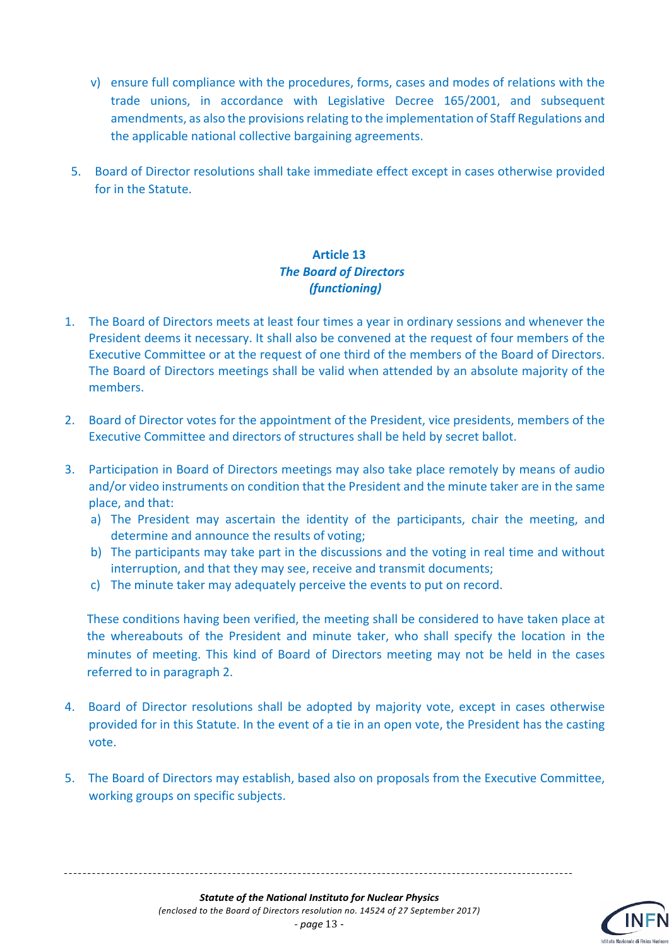- v) ensure full compliance with the procedures, forms, cases and modes of relations with the trade unions, in accordance with Legislative Decree 165/2001, and subsequent amendments, as also the provisions relating to the implementation of Staff Regulations and the applicable national collective bargaining agreements.
- 5. Board of Director resolutions shall take immediate effect except in cases otherwise provided for in the Statute.

#### **Article 13** *The Board of Directors (functioning)*

- 1. The Board of Directors meets at least four times a year in ordinary sessions and whenever the President deems it necessary. It shall also be convened at the request of four members of the Executive Committee or at the request of one third of the members of the Board of Directors. The Board of Directors meetings shall be valid when attended by an absolute majority of the members.
- 2. Board of Director votes for the appointment of the President, vice presidents, members of the Executive Committee and directors of structures shall be held by secret ballot.
- 3. Participation in Board of Directors meetings may also take place remotely by means of audio and/or video instruments on condition that the President and the minute taker are in the same place, and that:
	- a) The President may ascertain the identity of the participants, chair the meeting, and determine and announce the results of voting;
	- b) The participants may take part in the discussions and the voting in real time and without interruption, and that they may see, receive and transmit documents;
	- c) The minute taker may adequately perceive the events to put on record.

These conditions having been verified, the meeting shall be considered to have taken place at the whereabouts of the President and minute taker, who shall specify the location in the minutes of meeting. This kind of Board of Directors meeting may not be held in the cases referred to in paragraph 2.

- 4. Board of Director resolutions shall be adopted by majority vote, except in cases otherwise provided for in this Statute. In the event of a tie in an open vote, the President has the casting vote.
- 5. The Board of Directors may establish, based also on proposals from the Executive Committee, working groups on specific subjects.



*- page* 13 -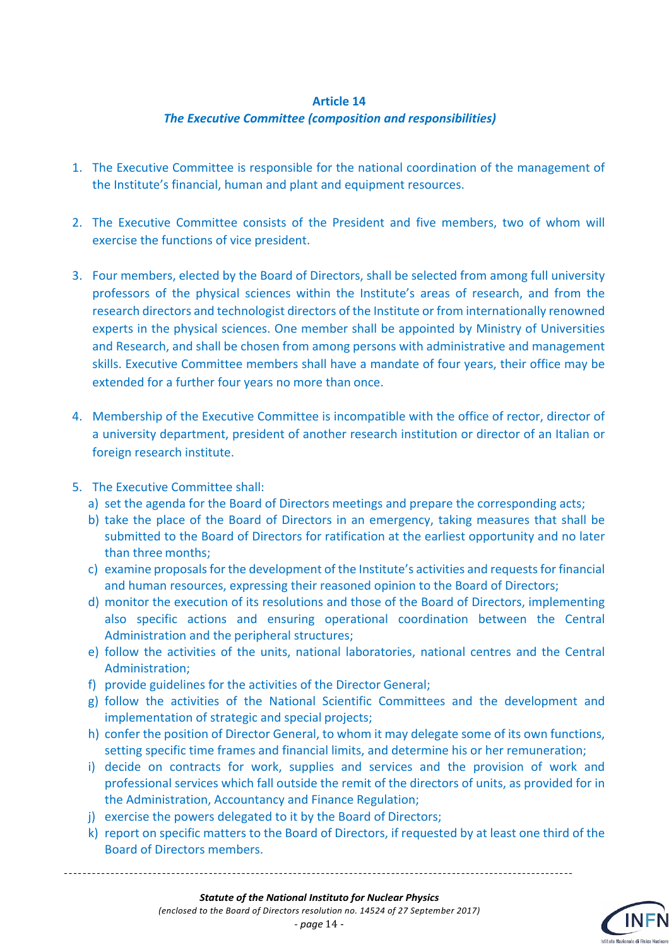#### **Article 14** *The Executive Committee (composition and responsibilities)*

- 1. The Executive Committee is responsible for the national coordination of the management of the Institute's financial, human and plant and equipment resources.
- 2. The Executive Committee consists of the President and five members, two of whom will exercise the functions of vice president.
- 3. Four members, elected by the Board of Directors, shall be selected from among full university professors of the physical sciences within the Institute's areas of research, and from the research directors and technologist directors of the Institute or from internationally renowned experts in the physical sciences. One member shall be appointed by Ministry of Universities and Research, and shall be chosen from among persons with administrative and management skills. Executive Committee members shall have a mandate of four years, their office may be extended for a further four years no more than once.
- 4. Membership of the Executive Committee is incompatible with the office of rector, director of a university department, president of another research institution or director of an Italian or foreign research institute.
- 5. The Executive Committee shall:
	- a) set the agenda for the Board of Directors meetings and prepare the corresponding acts;
	- b) take the place of the Board of Directors in an emergency, taking measures that shall be submitted to the Board of Directors for ratification at the earliest opportunity and no later than three months;
	- c) examine proposals for the development of the Institute's activities and requests for financial and human resources, expressing their reasoned opinion to the Board of Directors;
	- d) monitor the execution of its resolutions and those of the Board of Directors, implementing also specific actions and ensuring operational coordination between the Central Administration and the peripheral structures;
	- e) follow the activities of the units, national laboratories, national centres and the Central Administration;
	- f) provide guidelines for the activities of the Director General;
	- g) follow the activities of the National Scientific Committees and the development and implementation of strategic and special projects;
	- h) confer the position of Director General, to whom it may delegate some of its own functions, setting specific time frames and financial limits, and determine his or her remuneration;
	- i) decide on contracts for work, supplies and services and the provision of work and professional services which fall outside the remit of the directors of units, as provided for in the Administration, Accountancy and Finance Regulation;
	- j) exercise the powers delegated to it by the Board of Directors;
	- k) report on specific matters to the Board of Directors, if requested by at least one third of the Board of Directors members.



*- page* 14 -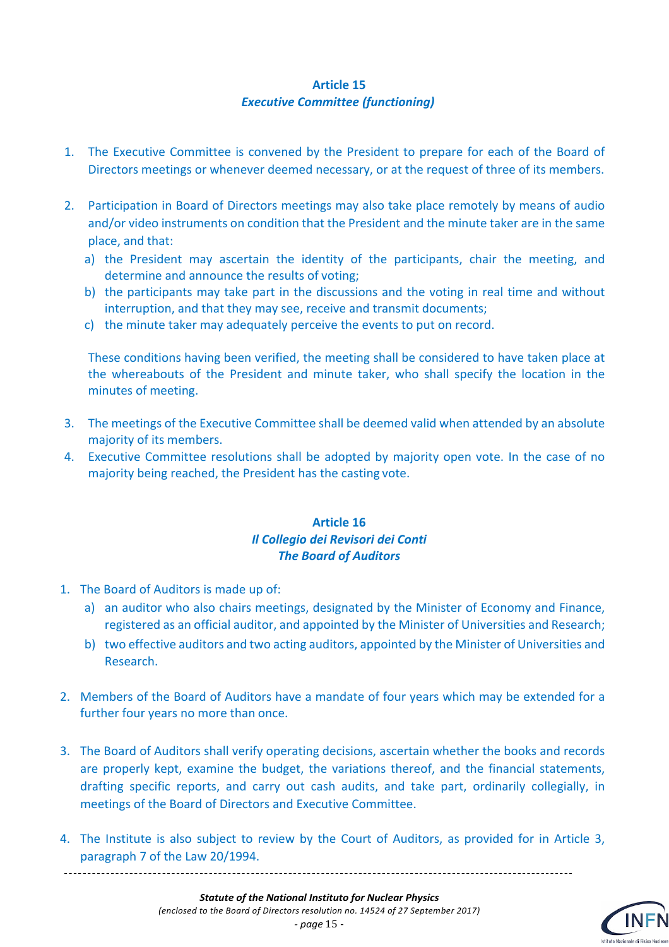#### **Article 15** *Executive Committee (functioning)*

- 1. The Executive Committee is convened by the President to prepare for each of the Board of Directors meetings or whenever deemed necessary, or at the request of three of its members.
- 2. Participation in Board of Directors meetings may also take place remotely by means of audio and/or video instruments on condition that the President and the minute taker are in the same place, and that:
	- a) the President may ascertain the identity of the participants, chair the meeting, and determine and announce the results of voting;
	- b) the participants may take part in the discussions and the voting in real time and without interruption, and that they may see, receive and transmit documents;
	- c) the minute taker may adequately perceive the events to put on record.

These conditions having been verified, the meeting shall be considered to have taken place at the whereabouts of the President and minute taker, who shall specify the location in the minutes of meeting.

- 3. The meetings of the Executive Committee shall be deemed valid when attended by an absolute majority of its members.
- 4. Executive Committee resolutions shall be adopted by majority open vote. In the case of no majority being reached, the President has the casting vote.

#### **Article 16** *Il Collegio dei Revisori dei Conti The Board of Auditors*

1. The Board of Auditors is made up of:

\_\_\_\_\_\_\_\_\_\_\_\_\_\_\_\_\_\_\_\_\_\_\_\_\_\_\_\_\_\_\_

- a) an auditor who also chairs meetings, designated by the Minister of Economy and Finance, registered as an official auditor, and appointed by the Minister of Universities and Research;
- b) two effective auditors and two acting auditors, appointed by the Minister of Universities and Research.
- 2. Members of the Board of Auditors have a mandate of four years which may be extended for a further four years no more than once.
- 3. The Board of Auditors shall verify operating decisions, ascertain whether the books and records are properly kept, examine the budget, the variations thereof, and the financial statements, drafting specific reports, and carry out cash audits, and take part, ordinarily collegially, in meetings of the Board of Directors and Executive Committee.
- 4. The Institute is also subject to review by the Court of Auditors, as provided for in Article 3, paragraph 7 of the Law 20/1994.

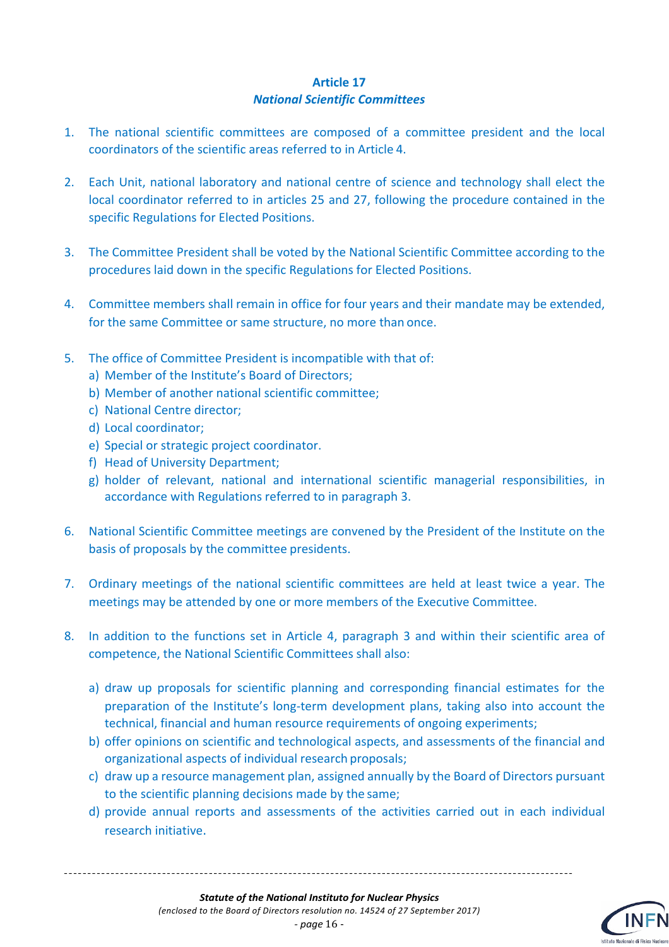#### **Article 17** *National Scientific Committees*

- 1. The national scientific committees are composed of a committee president and the local coordinators of the scientific areas referred to in Article 4.
- 2. Each Unit, national laboratory and national centre of science and technology shall elect the local coordinator referred to in articles 25 and 27, following the procedure contained in the specific Regulations for Elected Positions.
- 3. The Committee President shall be voted by the National Scientific Committee according to the procedures laid down in the specific Regulations for Elected Positions.
- 4. Committee members shall remain in office for four years and their mandate may be extended, for the same Committee or same structure, no more than once.
- 5. The office of Committee President is incompatible with that of:
	- a) Member of the Institute's Board of Directors;
	- b) Member of another national scientific committee;
	- c) National Centre director;
	- d) Local coordinator;
	- e) Special or strategic project coordinator.
	- f) Head of University Department;
	- g) holder of relevant, national and international scientific managerial responsibilities, in accordance with Regulations referred to in paragraph 3.
- 6. National Scientific Committee meetings are convened by the President of the Institute on the basis of proposals by the committee presidents.
- 7. Ordinary meetings of the national scientific committees are held at least twice a year. The meetings may be attended by one or more members of the Executive Committee.
- 8. In addition to the functions set in Article 4, paragraph 3 and within their scientific area of competence, the National Scientific Committees shall also:
	- a) draw up proposals for scientific planning and corresponding financial estimates for the preparation of the Institute's long-term development plans, taking also into account the technical, financial and human resource requirements of ongoing experiments;
	- b) offer opinions on scientific and technological aspects, and assessments of the financial and organizational aspects of individual research proposals;
	- c) draw up a resource management plan, assigned annually by the Board of Directors pursuant to the scientific planning decisions made by the same;
	- d) provide annual reports and assessments of the activities carried out in each individual research initiative.

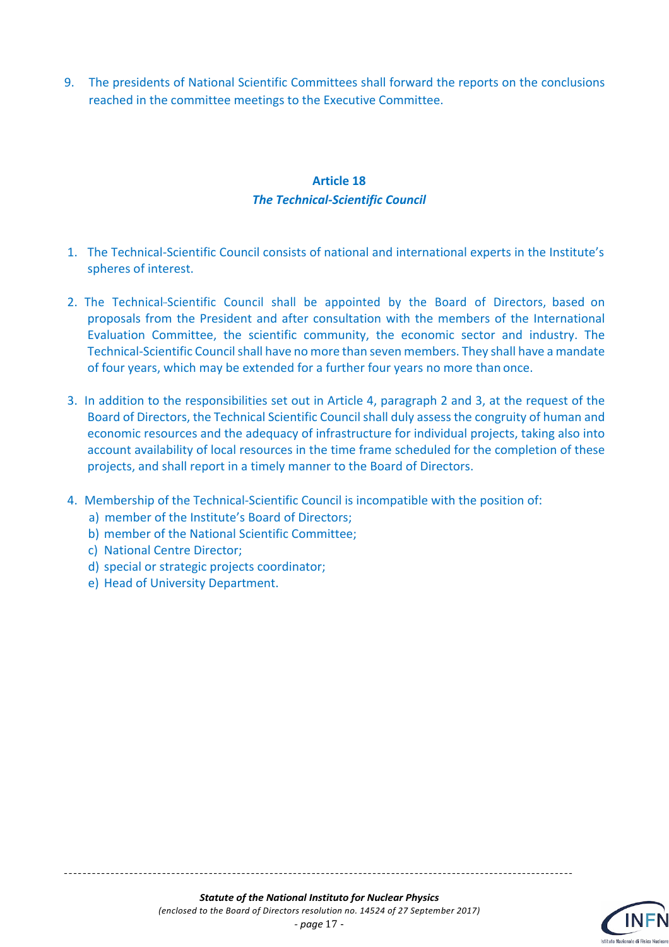9. The presidents of National Scientific Committees shall forward the reports on the conclusions reached in the committee meetings to the Executive Committee.

#### **Article 18** *The Technical-Scientific Council*

- 1. The Technical-Scientific Council consists of national and international experts in the Institute's spheres of interest.
- 2. The Technical-Scientific Council shall be appointed by the Board of Directors, based on proposals from the President and after consultation with the members of the International Evaluation Committee, the scientific community, the economic sector and industry. The Technical-Scientific Council shall have no more than seven members. They shall have a mandate of four years, which may be extended for a further four years no more than once.
- 3. In addition to the responsibilities set out in Article 4, paragraph 2 and 3, at the request of the Board of Directors, the Technical Scientific Council shall duly assess the congruity of human and economic resources and the adequacy of infrastructure for individual projects, taking also into account availability of local resources in the time frame scheduled for the completion of these projects, and shall report in a timely manner to the Board of Directors.
- 4. Membership of the Technical-Scientific Council is incompatible with the position of:
	- a) member of the Institute's Board of Directors;
	- b) member of the National Scientific Committee;
	- c) National Centre Director;
	- d) special or strategic projects coordinator;
	- e) Head of University Department.

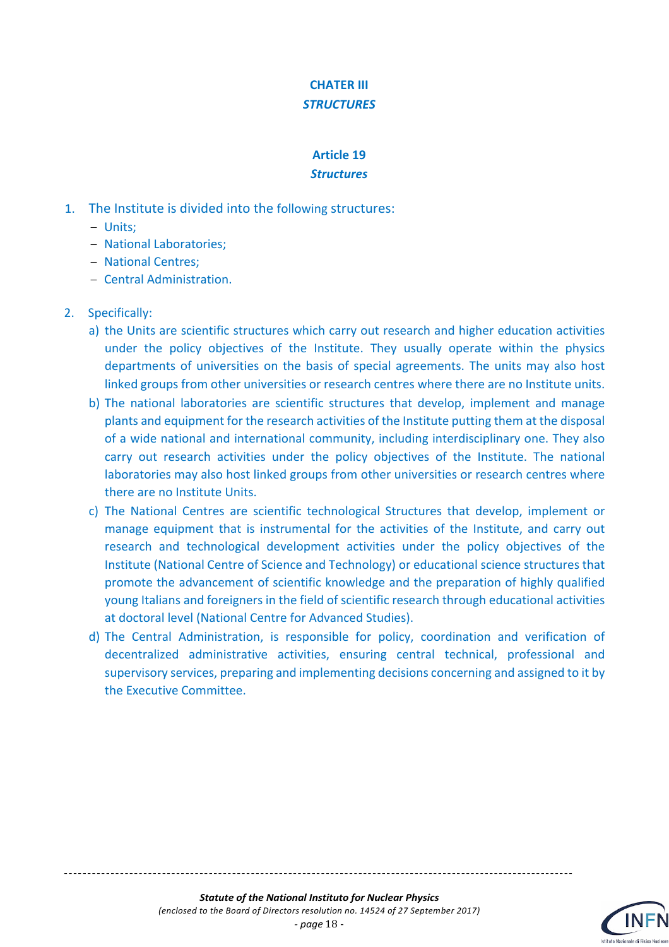## **CHATER III** *STRUCTURES*

#### **Article 19** *Structures*

- 1. The Institute is divided into the following structures:
	- Units;
	- National Laboratories;
	- National Centres;
	- Central Administration.

### 2. Specifically:

- a) the Units are scientific structures which carry out research and higher education activities under the policy objectives of the Institute. They usually operate within the physics departments of universities on the basis of special agreements. The units may also host linked groups from other universities or research centres where there are no Institute units.
- b) The national laboratories are scientific structures that develop, implement and manage plants and equipment for the research activities of the Institute putting them at the disposal of a wide national and international community, including interdisciplinary one. They also carry out research activities under the policy objectives of the Institute. The national laboratories may also host linked groups from other universities or research centres where there are no Institute Units.
- c) The National Centres are scientific technological Structures that develop, implement or manage equipment that is instrumental for the activities of the Institute, and carry out research and technological development activities under the policy objectives of the Institute (National Centre of Science and Technology) or educational science structures that promote the advancement of scientific knowledge and the preparation of highly qualified young Italians and foreigners in the field of scientific research through educational activities at doctoral level (National Centre for Advanced Studies).
- d) The Central Administration, is responsible for policy, coordination and verification of decentralized administrative activities, ensuring central technical, professional and supervisory services, preparing and implementing decisions concerning and assigned to it by the Executive Committee.

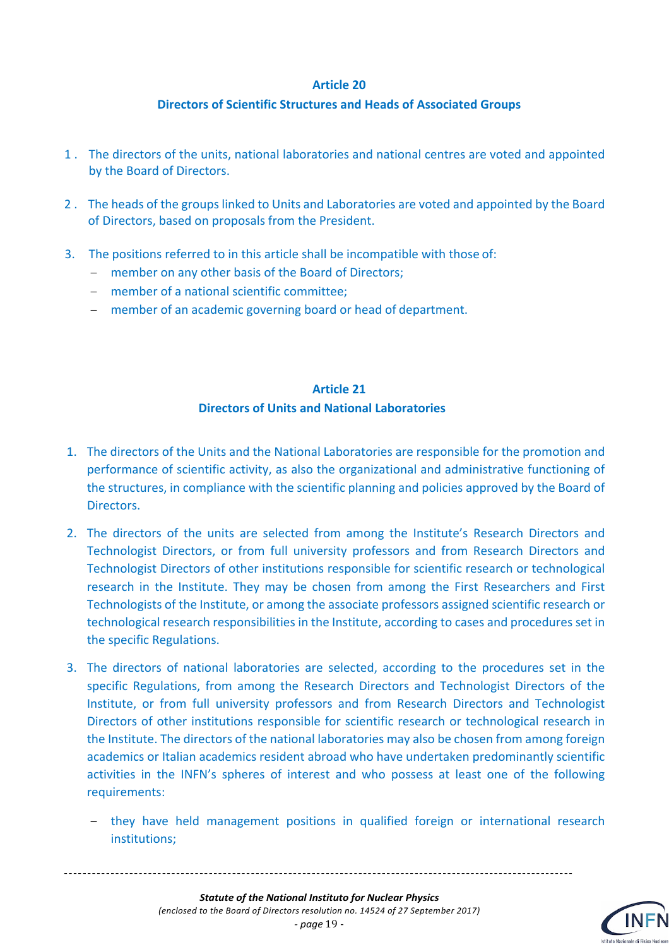#### **Directors of Scientific Structures and Heads of Associated Groups**

- 1 . The directors of the units, national laboratories and national centres are voted and appointed by the Board of Directors.
- 2 . The heads of the groups linked to Units and Laboratories are voted and appointed by the Board of Directors, based on proposals from the President.
- 3. The positions referred to in this article shall be incompatible with those of:
	- member on any other basis of the Board of Directors;
	- member of a national scientific committee;
	- member of an academic governing board or head of department.

### **Article 21 Directors of Units and National Laboratories**

- 1. The directors of the Units and the National Laboratories are responsible for the promotion and performance of scientific activity, as also the organizational and administrative functioning of the structures, in compliance with the scientific planning and policies approved by the Board of Directors.
- 2. The directors of the units are selected from among the Institute's Research Directors and Technologist Directors, or from full university professors and from Research Directors and Technologist Directors of other institutions responsible for scientific research or technological research in the Institute. They may be chosen from among the First Researchers and First Technologists of the Institute, or among the associate professors assigned scientific research or technological research responsibilities in the Institute, according to cases and procedures set in the specific Regulations.
- 3. The directors of national laboratories are selected, according to the procedures set in the specific Regulations, from among the Research Directors and Technologist Directors of the Institute, or from full university professors and from Research Directors and Technologist Directors of other institutions responsible for scientific research or technological research in the Institute. The directors of the national laboratories may also be chosen from among foreign academics or Italian academics resident abroad who have undertaken predominantly scientific activities in the INFN's spheres of interest and who possess at least one of the following requirements:
	- they have held management positions in qualified foreign or international research institutions;

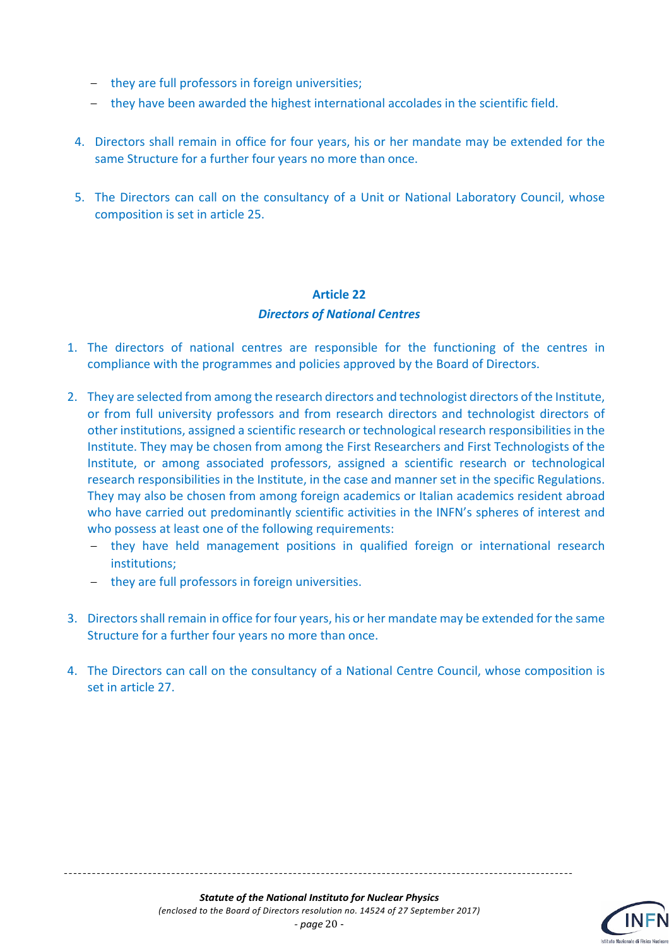- they are full professors in foreign universities;
- they have been awarded the highest international accolades in the scientific field.
- 4. Directors shall remain in office for four years, his or her mandate may be extended for the same Structure for a further four years no more than once.
- 5. The Directors can call on the consultancy of a Unit or National Laboratory Council, whose composition is set in article 25.

# **Article 22** *Directors of National Centres*

- 1. The directors of national centres are responsible for the functioning of the centres in compliance with the programmes and policies approved by the Board of Directors.
- 2. They are selected from among the research directors and technologist directors of the Institute, or from full university professors and from research directors and technologist directors of other institutions, assigned a scientific research or technological research responsibilities in the Institute. They may be chosen from among the First Researchers and First Technologists of the Institute, or among associated professors, assigned a scientific research or technological research responsibilities in the Institute, in the case and manner set in the specific Regulations. They may also be chosen from among foreign academics or Italian academics resident abroad who have carried out predominantly scientific activities in the INFN's spheres of interest and who possess at least one of the following requirements:
	- they have held management positions in qualified foreign or international research institutions;
	- they are full professors in foreign universities.
- 3. Directors shall remain in office for four years, his or her mandate may be extended for the same Structure for a further four years no more than once.
- 4. The Directors can call on the consultancy of a National Centre Council, whose composition is set in article 27.

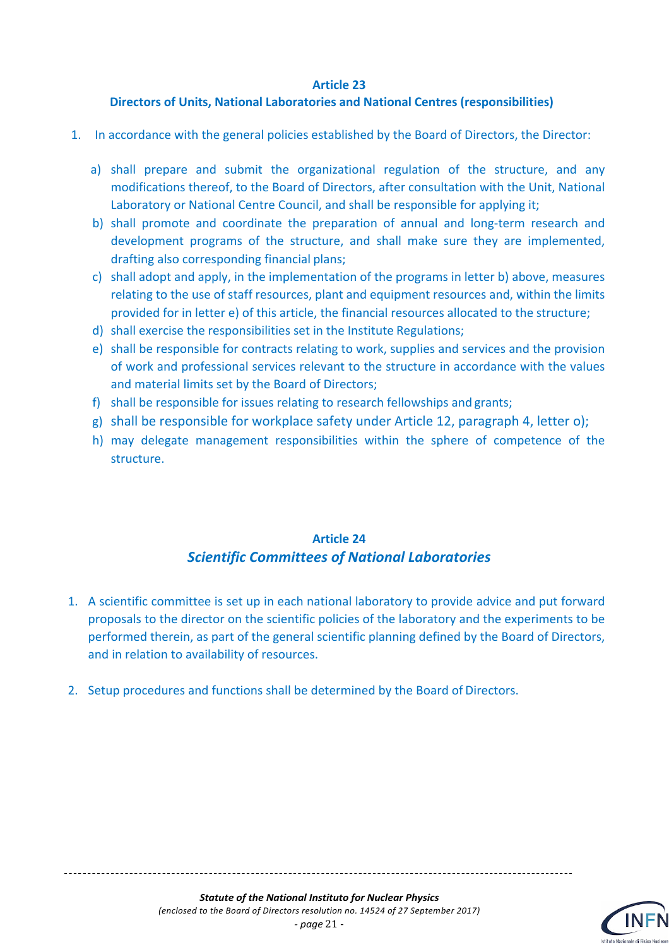#### **Directors of Units, National Laboratories and National Centres (responsibilities)**

- 1. In accordance with the general policies established by the Board of Directors, the Director:
	- a) shall prepare and submit the organizational regulation of the structure, and any modifications thereof, to the Board of Directors, after consultation with the Unit, National Laboratory or National Centre Council, and shall be responsible for applying it;
	- b) shall promote and coordinate the preparation of annual and long-term research and development programs of the structure, and shall make sure they are implemented, drafting also corresponding financial plans;
	- c) shall adopt and apply, in the implementation of the programs in letter b) above, measures relating to the use of staff resources, plant and equipment resources and, within the limits provided for in letter e) of this article, the financial resources allocated to the structure;
	- d) shall exercise the responsibilities set in the Institute Regulations;
	- e) shall be responsible for contracts relating to work, supplies and services and the provision of work and professional services relevant to the structure in accordance with the values and material limits set by the Board of Directors;
	- f) shall be responsible for issues relating to research fellowships and grants;
	- g) shall be responsible for workplace safety under Article 12, paragraph 4, letter o);
	- h) may delegate management responsibilities within the sphere of competence of the structure.

# **Article 24** *Scientific Committees of National Laboratories*

- 1. A scientific committee is set up in each national laboratory to provide advice and put forward proposals to the director on the scientific policies of the laboratory and the experiments to be performed therein, as part of the general scientific planning defined by the Board of Directors, and in relation to availability of resources.
- 2. Setup procedures and functions shall be determined by the Board of Directors.

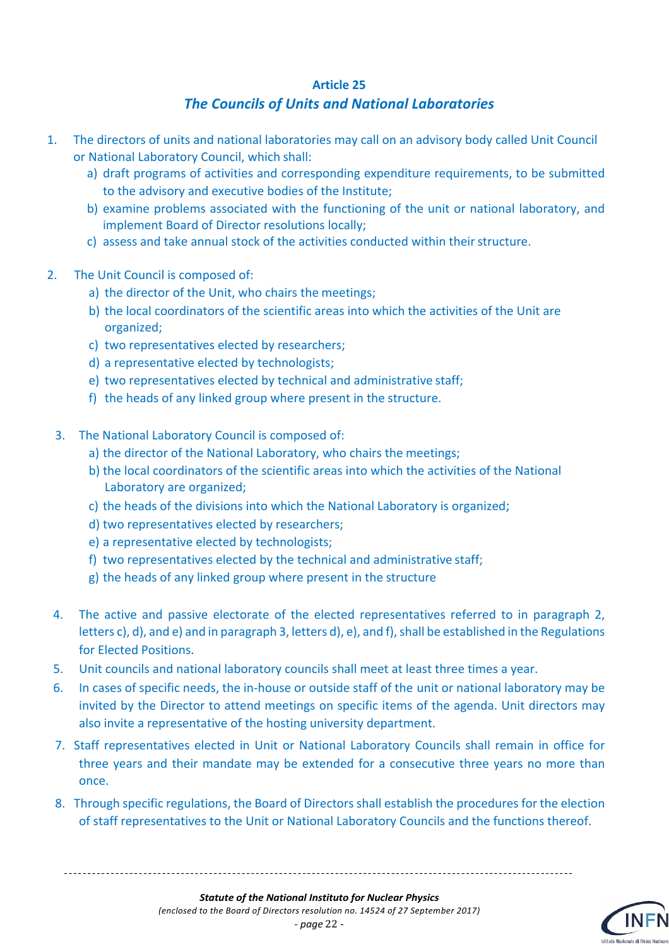## *The Councils of Units and National Laboratories*

- 1. The directors of units and national laboratories may call on an advisory body called Unit Council or National Laboratory Council, which shall:
	- a) draft programs of activities and corresponding expenditure requirements, to be submitted to the advisory and executive bodies of the Institute;
	- b) examine problems associated with the functioning of the unit or national laboratory, and implement Board of Director resolutions locally;
	- c) assess and take annual stock of the activities conducted within theirstructure.
- 2. The Unit Council is composed of:
	- a) the director of the Unit, who chairs the meetings;
	- b) the local coordinators of the scientific areas into which the activities of the Unit are organized;
	- c) two representatives elected by researchers;
	- d) a representative elected by technologists;
	- e) two representatives elected by technical and administrative staff;
	- f) the heads of any linked group where present in the structure.
	- 3. The National Laboratory Council is composed of:
		- a) the director of the National Laboratory, who chairs the meetings;
		- b) the local coordinators of the scientific areas into which the activities of the National Laboratory are organized;
		- c) the heads of the divisions into which the National Laboratory is organized;
		- d) two representatives elected by researchers;
		- e) a representative elected by technologists;
		- f) two representatives elected by the technical and administrative staff;
		- g) the heads of any linked group where present in the structure
	- 4. The active and passive electorate of the elected representatives referred to in paragraph 2, letters c), d), and e) and in paragraph 3, letters d), e), and f), shall be established in the Regulations for Elected Positions.
- 5. Unit councils and national laboratory councils shall meet at least three times a year.
- 6. In cases of specific needs, the in-house or outside staff of the unit or national laboratory may be invited by the Director to attend meetings on specific items of the agenda. Unit directors may also invite a representative of the hosting university department.
- 7. Staff representatives elected in Unit or National Laboratory Councils shall remain in office for three years and their mandate may be extended for a consecutive three years no more than once.
- 8. Through specific regulations, the Board of Directors shall establish the procedures for the election of staff representatives to the Unit or National Laboratory Councils and the functions thereof.

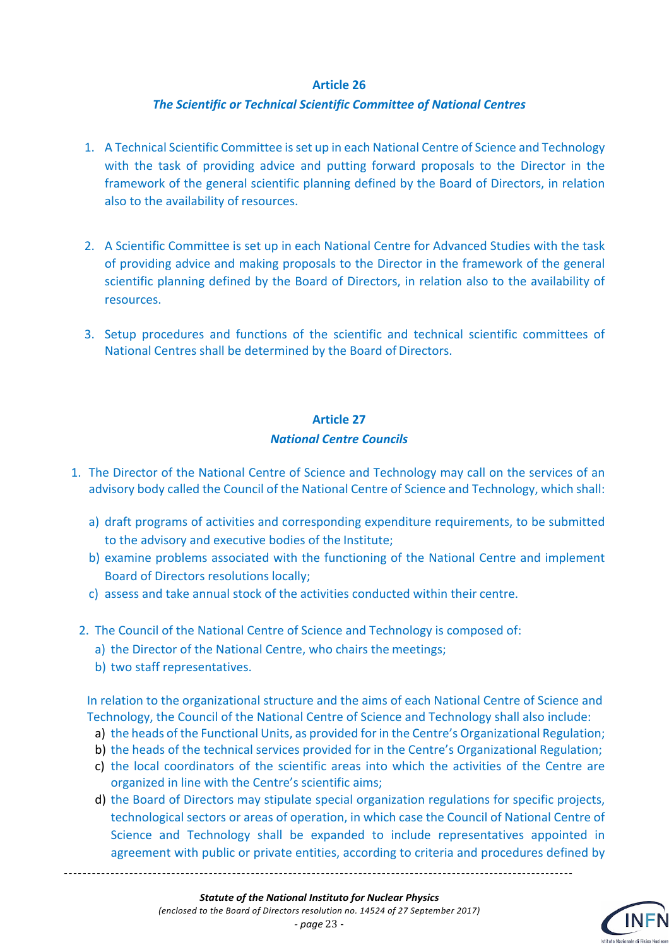#### *The Scientific or Technical Scientific Committee of National Centres*

- 1. A Technical Scientific Committee isset up in each National Centre of Science and Technology with the task of providing advice and putting forward proposals to the Director in the framework of the general scientific planning defined by the Board of Directors, in relation also to the availability of resources.
- 2. A Scientific Committee is set up in each National Centre for Advanced Studies with the task of providing advice and making proposals to the Director in the framework of the general scientific planning defined by the Board of Directors, in relation also to the availability of resources.
- 3. Setup procedures and functions of the scientific and technical scientific committees of National Centres shall be determined by the Board of Directors.

#### **Article 27**

#### *National Centre Councils*

- 1. The Director of the National Centre of Science and Technology may call on the services of an advisory body called the Council of the National Centre of Science and Technology, which shall:
	- a) draft programs of activities and corresponding expenditure requirements, to be submitted to the advisory and executive bodies of the Institute;
	- b) examine problems associated with the functioning of the National Centre and implement Board of Directors resolutions locally;
	- c) assess and take annual stock of the activities conducted within their centre.
	- 2. The Council of the National Centre of Science and Technology is composed of:
		- a) the Director of the National Centre, who chairs the meetings;
		- b) two staff representatives.

In relation to the organizational structure and the aims of each National Centre of Science and Technology, the Council of the National Centre of Science and Technology shall also include:

- a) the heads of the Functional Units, as provided for in the Centre's Organizational Regulation;
- b) the heads of the technical services provided for in the Centre's Organizational Regulation;
- c) the local coordinators of the scientific areas into which the activities of the Centre are organized in line with the Centre's scientific aims;
- d) the Board of Directors may stipulate special organization regulations for specific projects, technological sectors or areas of operation, in which case the Council of National Centre of Science and Technology shall be expanded to include representatives appointed in agreement with public or private entities, according to criteria and procedures defined by

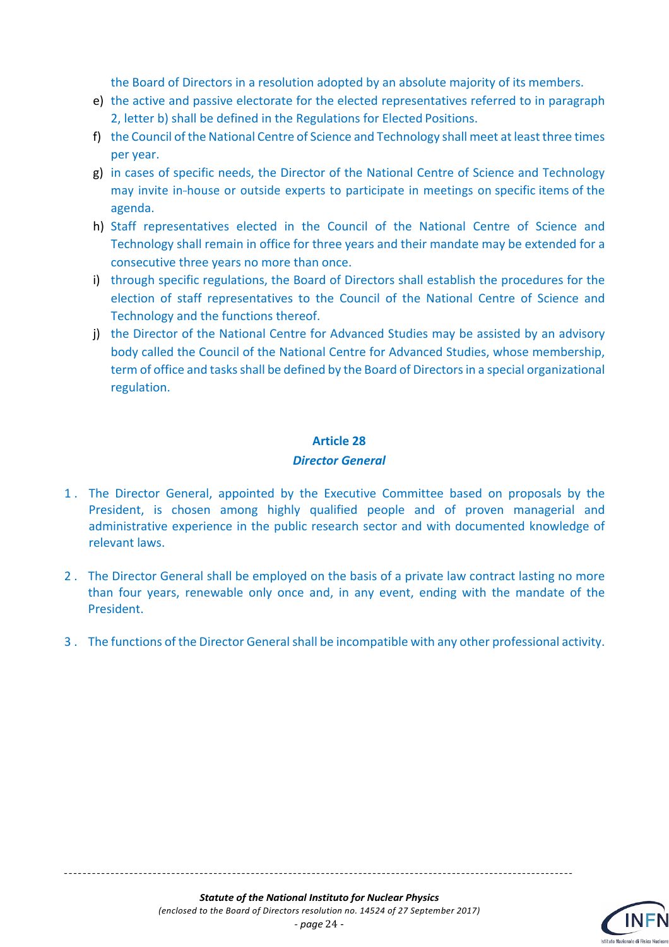the Board of Directors in a resolution adopted by an absolute majority of its members.

- e) the active and passive electorate for the elected representatives referred to in paragraph 2, letter b) shall be defined in the Regulations for Elected Positions.
- f) the Council of the National Centre of Science and Technology shall meet at least three times per year.
- g) in cases of specific needs, the Director of the National Centre of Science and Technology may invite in-house or outside experts to participate in meetings on specific items of the agenda.
- h) Staff representatives elected in the Council of the National Centre of Science and Technology shall remain in office for three years and their mandate may be extended for a consecutive three years no more than once.
- i) through specific regulations, the Board of Directors shall establish the procedures for the election of staff representatives to the Council of the National Centre of Science and Technology and the functions thereof.
- j) the Director of the National Centre for Advanced Studies may be assisted by an advisory body called the Council of the National Centre for Advanced Studies, whose membership, term of office and tasks shall be defined by the Board of Directors in a special organizational regulation.

#### **Article 28**

#### *Director General*

- 1 . The Director General, appointed by the Executive Committee based on proposals by the President, is chosen among highly qualified people and of proven managerial and administrative experience in the public research sector and with documented knowledge of relevant laws.
- 2 . The Director General shall be employed on the basis of a private law contract lasting no more than four years, renewable only once and, in any event, ending with the mandate of the President.
- 3 . The functions of the Director General shall be incompatible with any other professional activity.

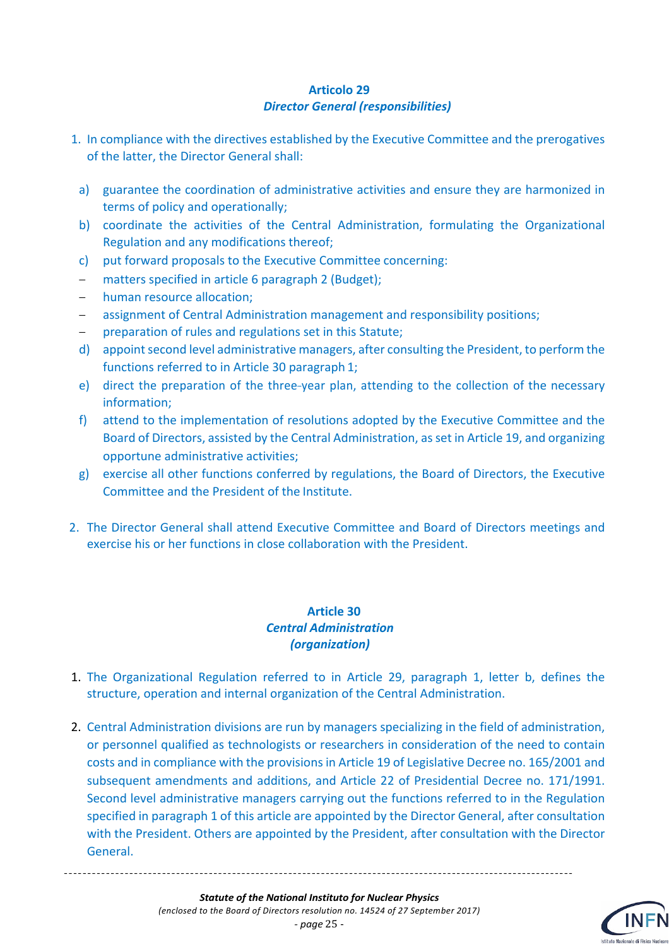#### **Articolo 29** *Director General (responsibilities)*

- 1. In compliance with the directives established by the Executive Committee and the prerogatives of the latter, the Director General shall:
- a) guarantee the coordination of administrative activities and ensure they are harmonized in terms of policy and operationally;
- b) coordinate the activities of the Central Administration, formulating the Organizational Regulation and any modifications thereof;
- c) put forward proposals to the Executive Committee concerning:
- matters specified in article 6 paragraph 2 (Budget);
- human resource allocation:
- assignment of Central Administration management and responsibility positions;
- preparation of rules and regulations set in this Statute;
- d) appoint second level administrative managers, after consulting the President, to perform the functions referred to in Article 30 paragraph 1;
- e) direct the preparation of the three-year plan, attending to the collection of the necessary information;
- f) attend to the implementation of resolutions adopted by the Executive Committee and the Board of Directors, assisted by the Central Administration, as set in Article 19, and organizing opportune administrative activities;
- g) exercise all other functions conferred by regulations, the Board of Directors, the Executive Committee and the President of the Institute.
- 2. The Director General shall attend Executive Committee and Board of Directors meetings and exercise his or her functions in close collaboration with the President.

#### **Article 30**  *Central Administration (organization)*

- 1. The Organizational Regulation referred to in Article 29, paragraph 1, letter b, defines the structure, operation and internal organization of the Central Administration.
- 2. Central Administration divisions are run by managers specializing in the field of administration, or personnel qualified as technologists or researchers in consideration of the need to contain costs and in compliance with the provisions in Article 19 of Legislative Decree no. 165/2001 and subsequent amendments and additions, and Article 22 of Presidential Decree no. 171/1991. Second level administrative managers carrying out the functions referred to in the Regulation specified in paragraph 1 of this article are appointed by the Director General, after consultation with the President. Others are appointed by the President, after consultation with the Director General.